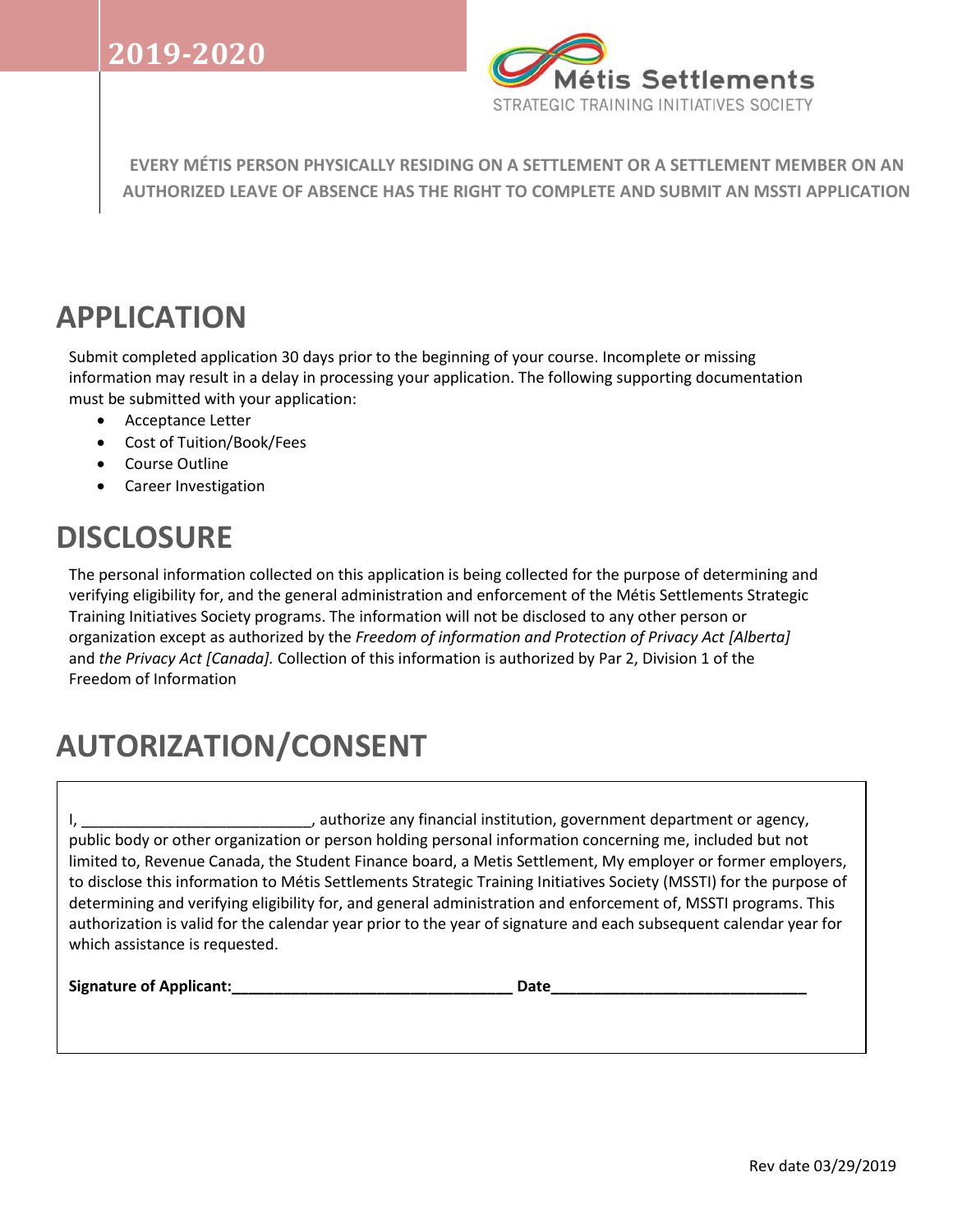

**EVERY MÉTIS PERSON PHYSICALLY RESIDING ON A SETTLEMENT OR A SETTLEMENT MEMBER ON AN AUTHORIZED LEAVE OF ABSENCE HAS THE RIGHT TO COMPLETE AND SUBMIT AN MSSTI APPLICATION**

# **APPLICATION**

Submit completed application 30 days prior to the beginning of your course. Incomplete or missing information may result in a delay in processing your application. The following supporting documentation must be submitted with your application:

- Acceptance Letter
- Cost of Tuition/Book/Fees
- Course Outline
- Career Investigation

# **DISCLOSURE**

The personal information collected on this application is being collected for the purpose of determining and verifying eligibility for, and the general administration and enforcement of the Métis Settlements Strategic Training Initiatives Society programs. The information will not be disclosed to any other person or organization except as authorized by the *Freedom of information and Protection of Privacy Act [Alberta]* and *the Privacy Act [Canada].* Collection of this information is authorized by Par 2, Division 1 of the Freedom of Information

# **AUTORIZATION/CONSENT**

I, \_\_\_\_\_\_\_\_\_\_\_\_\_\_\_\_\_\_\_\_\_\_\_\_\_\_\_, authorize any financial institution, government department or agency, public body or other organization or person holding personal information concerning me, included but not limited to, Revenue Canada, the Student Finance board, a Metis Settlement, My employer or former employers, to disclose this information to Métis Settlements Strategic Training Initiatives Society (MSSTI) for the purpose of determining and verifying eligibility for, and general administration and enforcement of, MSSTI programs. This authorization is valid for the calendar year prior to the year of signature and each subsequent calendar year for which assistance is requested.

**Signature of Applicant:\_\_\_\_\_\_\_\_\_\_\_\_\_\_\_\_\_\_\_\_\_\_\_\_\_\_\_\_\_\_\_\_\_ Date\_\_\_\_\_\_\_\_\_\_\_\_\_\_\_\_\_\_\_\_\_\_\_\_\_\_\_\_\_\_**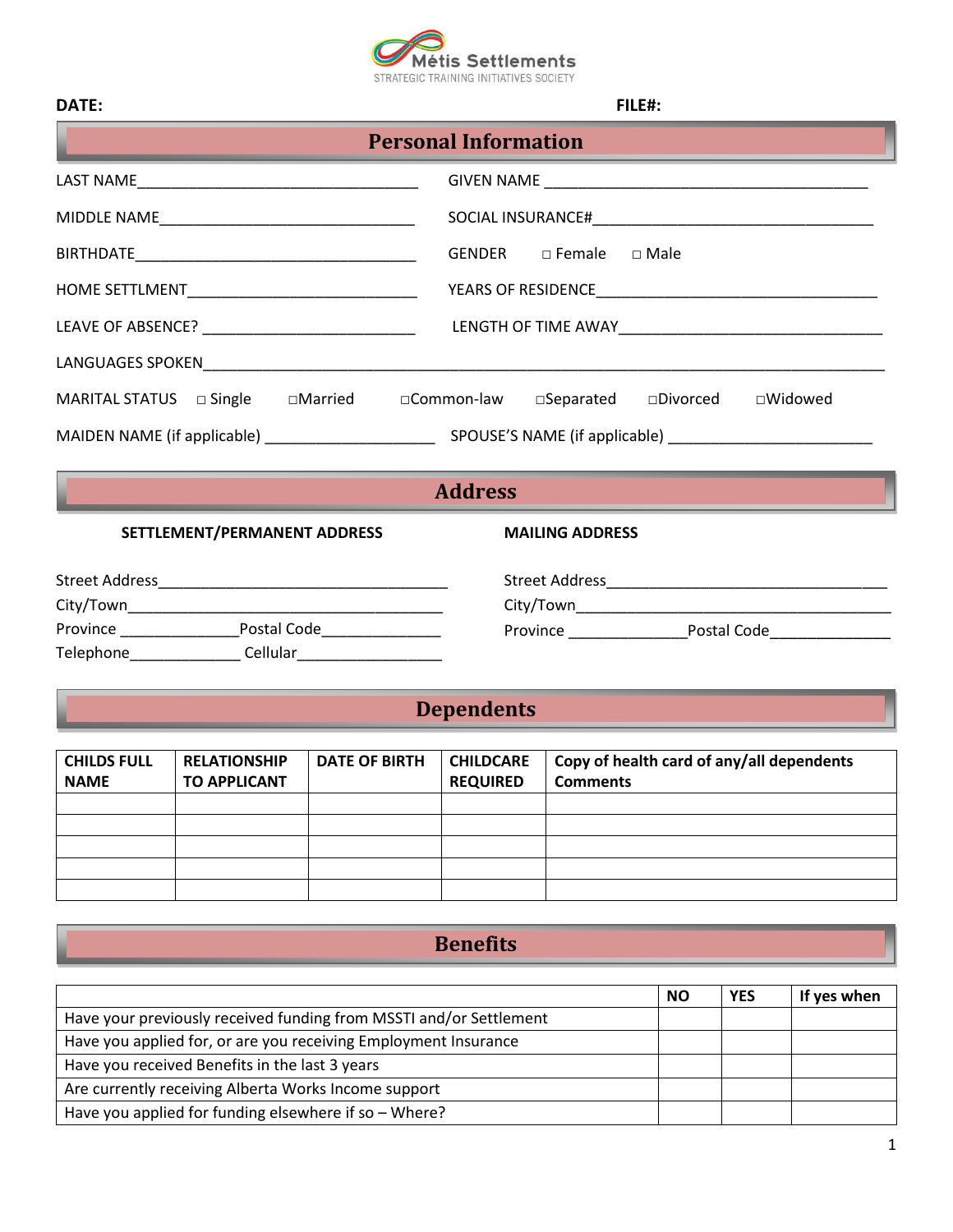

| DATE:                                                                                                                                          | FILE#:                           |  |  |  |  |
|------------------------------------------------------------------------------------------------------------------------------------------------|----------------------------------|--|--|--|--|
| <b>Personal Information</b><br>the contract of the contract of the contract of the contract of the contract of the contract of the contract of |                                  |  |  |  |  |
|                                                                                                                                                |                                  |  |  |  |  |
|                                                                                                                                                |                                  |  |  |  |  |
|                                                                                                                                                |                                  |  |  |  |  |
|                                                                                                                                                |                                  |  |  |  |  |
|                                                                                                                                                |                                  |  |  |  |  |
|                                                                                                                                                |                                  |  |  |  |  |
| MARITAL STATUS and Single and Married and Common-law and Separated and Divorced                                                                | □Widowed                         |  |  |  |  |
|                                                                                                                                                |                                  |  |  |  |  |
|                                                                                                                                                | <b>Address</b>                   |  |  |  |  |
| SETTLEMENT/PERMANENT ADDRESS                                                                                                                   | <b>MAILING ADDRESS</b>           |  |  |  |  |
|                                                                                                                                                |                                  |  |  |  |  |
|                                                                                                                                                |                                  |  |  |  |  |
|                                                                                                                                                | Province Postal Code Postal Code |  |  |  |  |
| Telephone_________________Cellular______________________                                                                                       |                                  |  |  |  |  |

# **Dependents**

| <b>CHILDS FULL</b><br><b>NAME</b> | <b>RELATIONSHIP</b><br><b>TO APPLICANT</b> | <b>DATE OF BIRTH</b> | <b>CHILDCARE</b><br><b>REQUIRED</b> | Copy of health card of any/all dependents<br><b>Comments</b> |
|-----------------------------------|--------------------------------------------|----------------------|-------------------------------------|--------------------------------------------------------------|
|                                   |                                            |                      |                                     |                                                              |
|                                   |                                            |                      |                                     |                                                              |
|                                   |                                            |                      |                                     |                                                              |
|                                   |                                            |                      |                                     |                                                              |
|                                   |                                            |                      |                                     |                                                              |

## **Benefits**

|                                                                    | <b>NO</b> | <b>YES</b> | If yes when |
|--------------------------------------------------------------------|-----------|------------|-------------|
| Have your previously received funding from MSSTI and/or Settlement |           |            |             |
| Have you applied for, or are you receiving Employment Insurance    |           |            |             |
| Have you received Benefits in the last 3 years                     |           |            |             |
| Are currently receiving Alberta Works Income support               |           |            |             |
| Have you applied for funding elsewhere if so - Where?              |           |            |             |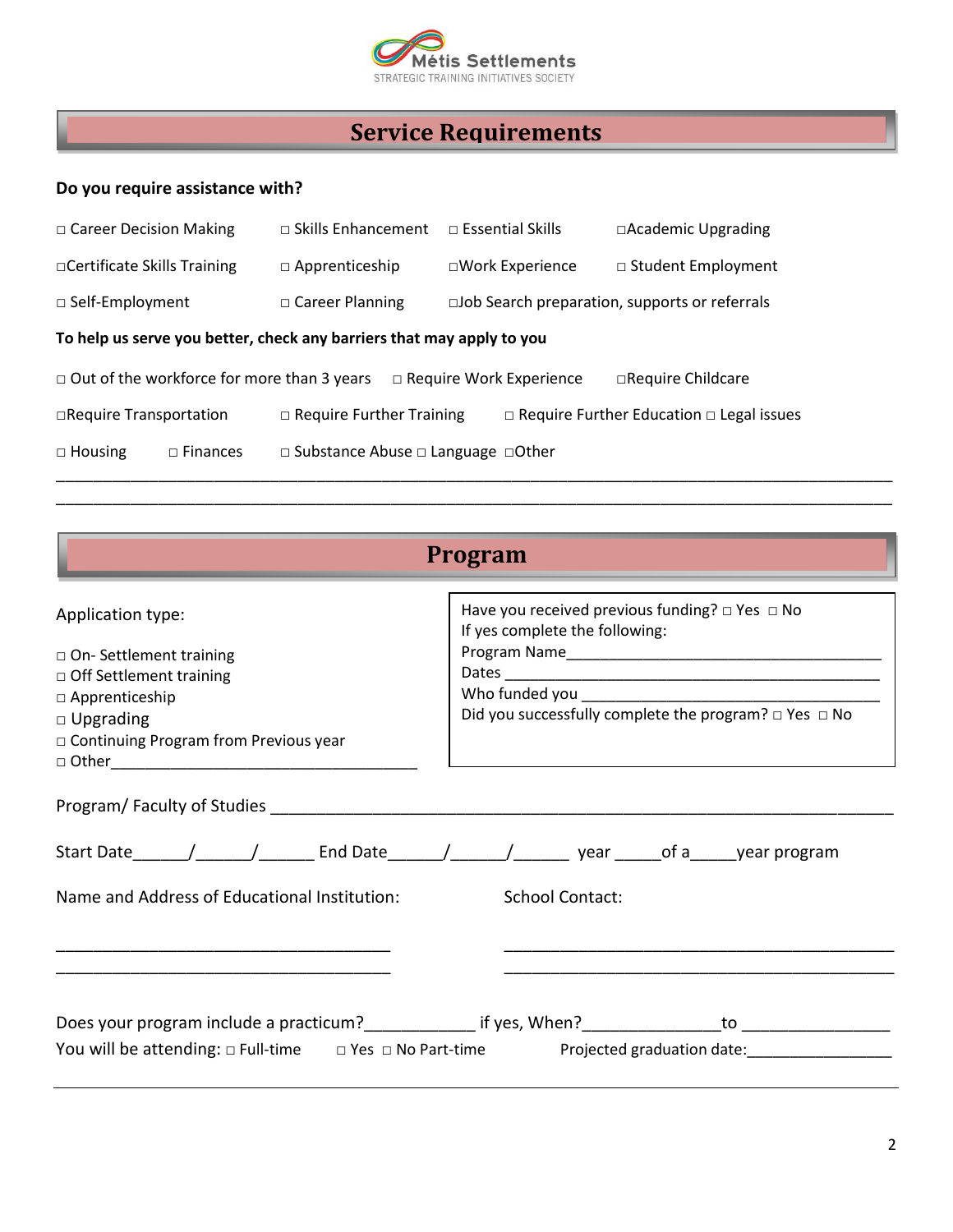

## **Service Requirements**

#### **Do you require assistance with?**

| $\Box$ Career Decision Making                                                                             | $\Box$ Skills Enhancement                           | $\Box$ Essential Skills                                 | $\Box$ Academic Upgrading                            |  |  |  |
|-----------------------------------------------------------------------------------------------------------|-----------------------------------------------------|---------------------------------------------------------|------------------------------------------------------|--|--|--|
| □ Certificate Skills Training                                                                             | $\Box$ Apprenticeship                               | □Work Experience                                        | $\Box$ Student Employment                            |  |  |  |
| $\Box$ Self-Employment                                                                                    | $\Box$ Career Planning                              | $\square$ Job Search preparation, supports or referrals |                                                      |  |  |  |
| To help us serve you better, check any barriers that may apply to you                                     |                                                     |                                                         |                                                      |  |  |  |
| $\Box$ Out of the workforce for more than 3 years<br>$\Box$ Require Work Experience<br>□Require Childcare |                                                     |                                                         |                                                      |  |  |  |
| □Require Transportation                                                                                   | $\Box$ Require Further Training                     |                                                         | $\Box$ Require Further Education $\Box$ Legal issues |  |  |  |
| $\Box$ Housing<br>$\Box$ Finances                                                                         | $\Box$ Substance Abuse $\Box$ Language $\Box$ Other |                                                         |                                                      |  |  |  |

\_\_\_\_\_\_\_\_\_\_\_\_\_\_\_\_\_\_\_\_\_\_\_\_\_\_\_\_\_\_\_\_\_\_\_\_\_\_\_\_\_\_\_\_\_\_\_\_\_\_\_\_\_\_\_\_\_\_\_\_\_\_\_\_\_\_\_\_\_\_\_\_\_\_\_\_\_\_\_\_\_\_\_\_\_\_\_\_\_\_

| Program                                                                                                                                                                       |                                                                                                                                                               |  |  |
|-------------------------------------------------------------------------------------------------------------------------------------------------------------------------------|---------------------------------------------------------------------------------------------------------------------------------------------------------------|--|--|
| Application type:<br>$\Box$ On- Settlement training<br>$\Box$ Off Settlement training<br>$\Box$ Apprenticeship<br>$\Box$ Upgrading<br>□ Continuing Program from Previous year | Have you received previous funding? $\Box$ Yes $\Box$ No<br>If yes complete the following:<br>Did you successfully complete the program? $\Box$ Yes $\Box$ No |  |  |
|                                                                                                                                                                               |                                                                                                                                                               |  |  |
|                                                                                                                                                                               |                                                                                                                                                               |  |  |
| Name and Address of Educational Institution:                                                                                                                                  | <b>School Contact:</b>                                                                                                                                        |  |  |
|                                                                                                                                                                               |                                                                                                                                                               |  |  |
|                                                                                                                                                                               | You will be attending: $\Box$ Full-time $\Box$ Yes $\Box$ No Part-time Projected graduation date:                                                             |  |  |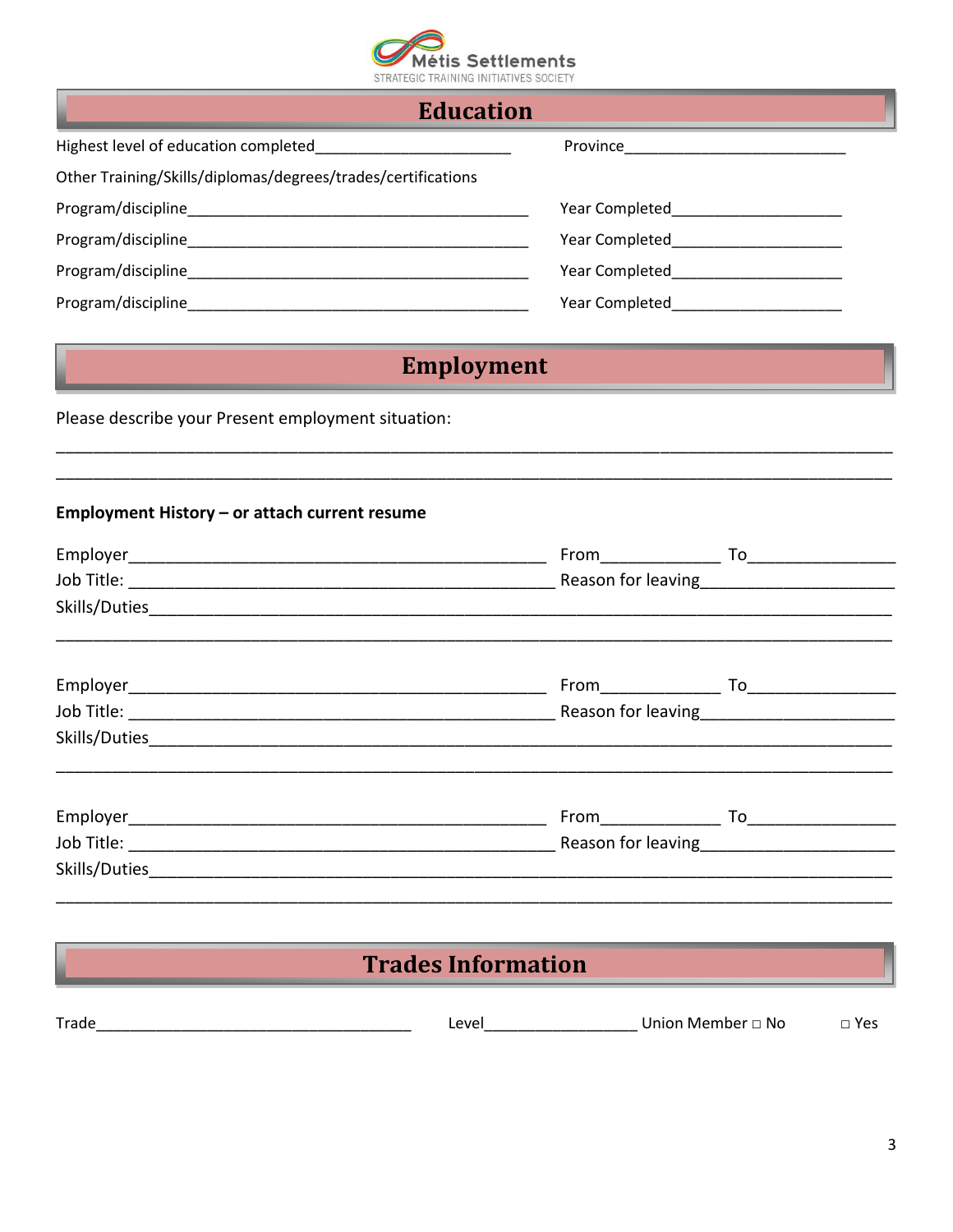

|  | <b>Education</b> |  |
|--|------------------|--|
|  |                  |  |

| Highest level of education completed                         | Province       |
|--------------------------------------------------------------|----------------|
| Other Training/Skills/diplomas/degrees/trades/certifications |                |
| Program/discipline                                           | Year Completed |
| Program/discipline                                           | Year Completed |
| Program/discipline                                           | Year Completed |
| Program/discipline                                           | Year Completed |

## **Employment**

Please describe your Present employment situation:

#### Employment History - or attach current resume

|  | From To |
|--|---------|
|  |         |
|  |         |
|  |         |
|  |         |
|  |         |
|  |         |
|  |         |
|  |         |
|  |         |
|  |         |
|  |         |

## **Trades Information**

| $T = 1$ | PVA<br>--- | Inior<br>.No<br>. Memher | Ye: |
|---------|------------|--------------------------|-----|
|         |            |                          |     |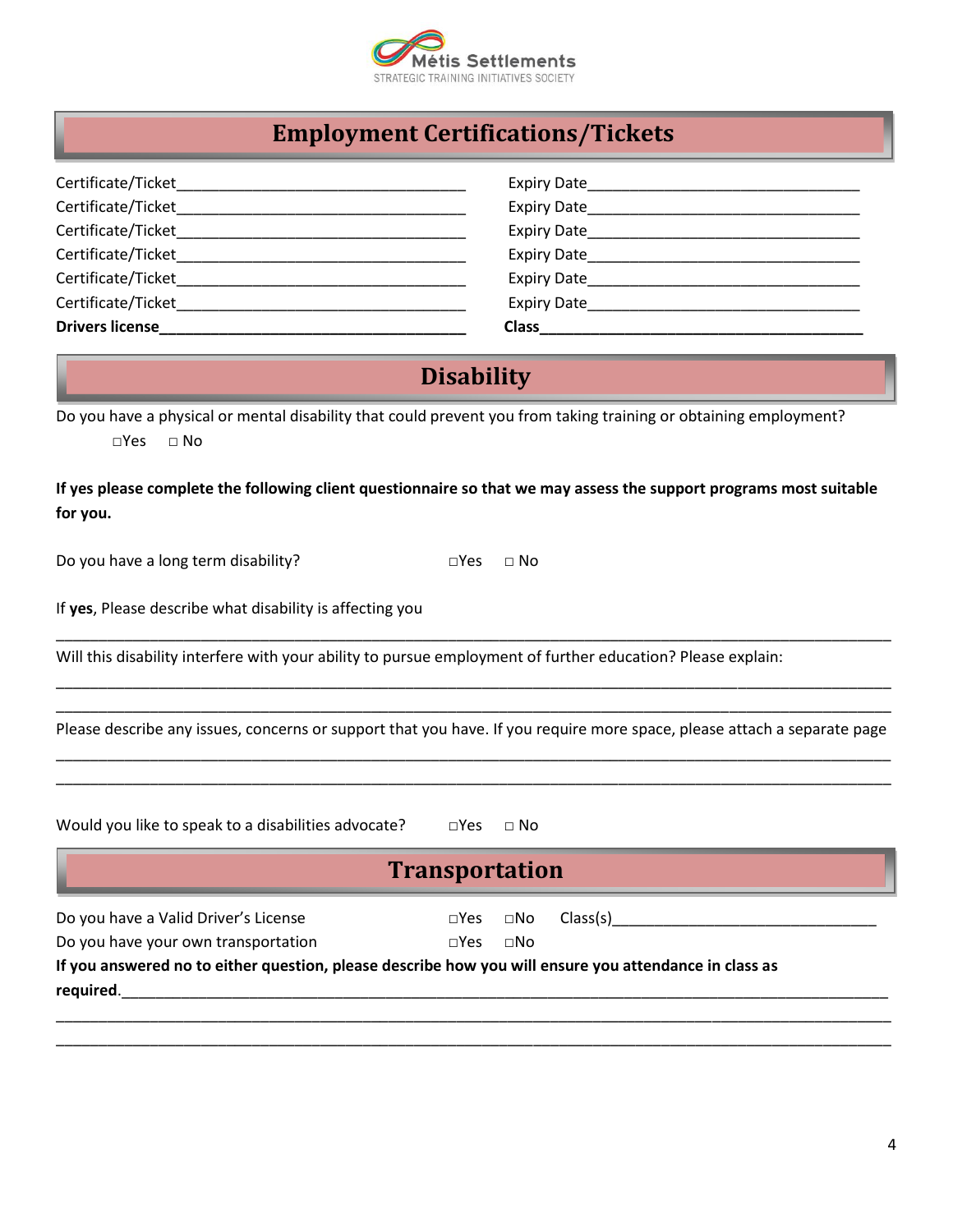

## **Employment Certifications/Tickets**

| Certificate/Ticket     | Expiry Date        |
|------------------------|--------------------|
| Certificate/Ticket     | Expiry Date        |
| Certificate/Ticket     | Expiry Date        |
| Certificate/Ticket     | Expiry Date        |
| Certificate/Ticket     | Expiry Date        |
| Certificate/Ticket     | <b>Expiry Date</b> |
| <b>Drivers license</b> | <b>Class</b>       |

## **Disability**

Do you have a physical or mental disability that could prevent you from taking training or obtaining employment?  $\neg$ Yes  $\neg$  No

**If yes please complete the following client questionnaire so that we may assess the support programs most suitable for you.**

Do you have a long term disability? □Yes □ No

If **yes**, Please describe what disability is affecting you

Will this disability interfere with your ability to pursue employment of further education? Please explain:

\_\_\_\_\_\_\_\_\_\_\_\_\_\_\_\_\_\_\_\_\_\_\_\_\_\_\_\_\_\_\_\_\_\_\_\_\_\_\_\_\_\_\_\_\_\_\_\_\_\_\_\_\_\_\_\_\_\_\_\_\_\_\_\_\_\_\_\_\_\_\_\_\_\_\_\_\_\_\_\_\_\_\_\_\_\_\_\_\_\_\_\_\_\_\_\_\_\_ Please describe any issues, concerns or support that you have. If you require more space, please attach a separate page \_\_\_\_\_\_\_\_\_\_\_\_\_\_\_\_\_\_\_\_\_\_\_\_\_\_\_\_\_\_\_\_\_\_\_\_\_\_\_\_\_\_\_\_\_\_\_\_\_\_\_\_\_\_\_\_\_\_\_\_\_\_\_\_\_\_\_\_\_\_\_\_\_\_\_\_\_\_\_\_\_\_\_\_\_\_\_\_\_\_\_\_\_\_\_\_\_\_

\_\_\_\_\_\_\_\_\_\_\_\_\_\_\_\_\_\_\_\_\_\_\_\_\_\_\_\_\_\_\_\_\_\_\_\_\_\_\_\_\_\_\_\_\_\_\_\_\_\_\_\_\_\_\_\_\_\_\_\_\_\_\_\_\_\_\_\_\_\_\_\_\_\_\_\_\_\_\_\_\_\_\_\_\_\_\_\_\_\_\_\_\_\_\_\_\_\_

\_\_\_\_\_\_\_\_\_\_\_\_\_\_\_\_\_\_\_\_\_\_\_\_\_\_\_\_\_\_\_\_\_\_\_\_\_\_\_\_\_\_\_\_\_\_\_\_\_\_\_\_\_\_\_\_\_\_\_\_\_\_\_\_\_\_\_\_\_\_\_\_\_\_\_\_\_\_\_\_\_\_\_\_\_\_\_\_\_\_\_\_\_\_\_\_\_\_

\_\_\_\_\_\_\_\_\_\_\_\_\_\_\_\_\_\_\_\_\_\_\_\_\_\_\_\_\_\_\_\_\_\_\_\_\_\_\_\_\_\_\_\_\_\_\_\_\_\_\_\_\_\_\_\_\_\_\_\_\_\_\_\_\_\_\_\_\_\_\_\_\_\_\_\_\_\_\_\_\_\_\_\_\_\_\_\_\_\_\_\_\_\_\_\_\_\_

| Would you like to speak to a disabilities advocate?                                                                |                       | $\Box$ Yes $\Box$ No       |  |
|--------------------------------------------------------------------------------------------------------------------|-----------------------|----------------------------|--|
|                                                                                                                    | <b>Transportation</b> |                            |  |
| Do you have a Valid Driver's License                                                                               |                       | $\square$ Yes $\square$ No |  |
| Do you have your own transportation                                                                                | $\sqcap$ Yes          | ⊓No                        |  |
| If you answered no to either question, please describe how you will ensure you attendance in class as<br>required. |                       |                            |  |
|                                                                                                                    |                       |                            |  |

\_\_\_\_\_\_\_\_\_\_\_\_\_\_\_\_\_\_\_\_\_\_\_\_\_\_\_\_\_\_\_\_\_\_\_\_\_\_\_\_\_\_\_\_\_\_\_\_\_\_\_\_\_\_\_\_\_\_\_\_\_\_\_\_\_\_\_\_\_\_\_\_\_\_\_\_\_\_\_\_\_\_\_\_\_\_\_\_\_\_\_\_\_\_\_\_\_\_